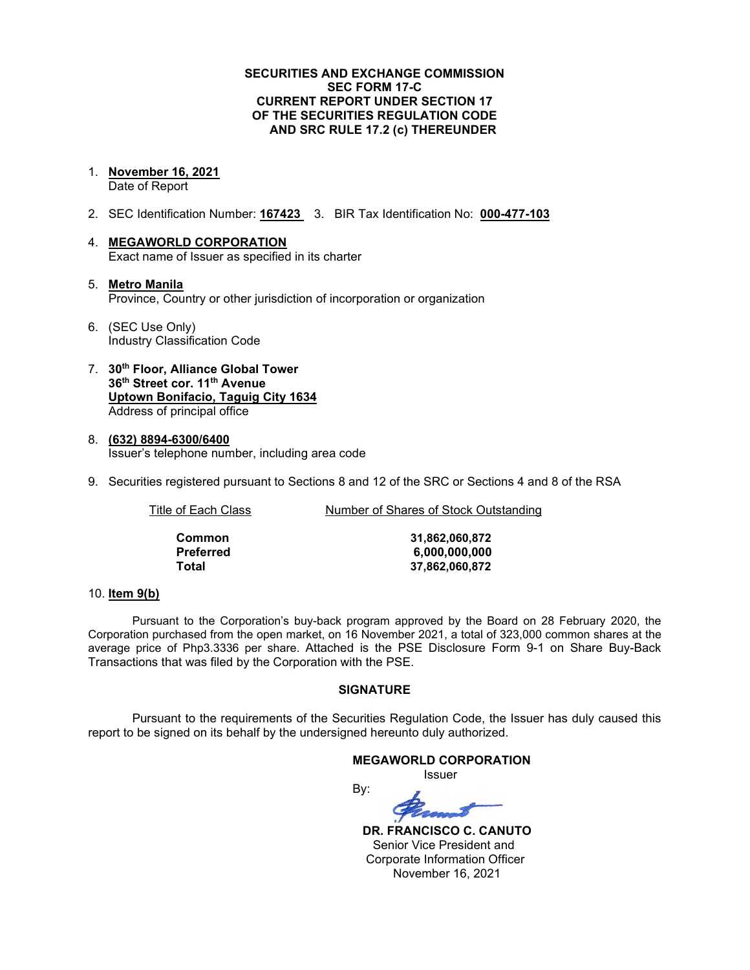### **SECURITIES AND EXCHANGE COMMISSION SEC FORM 17-C CURRENT REPORT UNDER SECTION 17 OF THE SECURITIES REGULATION CODE AND SRC RULE 17.2 (c) THEREUNDER**

1. **November 16, 2021**

Date of Report

- 2. SEC Identification Number: **167423** 3. BIR Tax Identification No: **000-477-103**
- 4. **MEGAWORLD CORPORATION** Exact name of Issuer as specified in its charter
- 5. **Metro Manila** Province, Country or other jurisdiction of incorporation or organization
- 6. (SEC Use Only) Industry Classification Code
- 7. **30th Floor, Alliance Global Tower 36th Street cor. 11th Avenue Uptown Bonifacio, Taguig City 1634** Address of principal office
- 8. **(632) 8894-6300/6400** Issuer's telephone number, including area code
- 9. Securities registered pursuant to Sections 8 and 12 of the SRC or Sections 4 and 8 of the RSA

| Title of Each Class | Number of Shares of Stock Outstanding |  |
|---------------------|---------------------------------------|--|
|                     |                                       |  |
| Common              | 31.862.060.872                        |  |

**Preferred 6,000,000,000 Total 37,862,060,872**

### 10. **Item 9(b)**

Pursuant to the Corporation's buy-back program approved by the Board on 28 February 2020, the Corporation purchased from the open market, on 16 November 2021, a total of 323,000 common shares at the average price of Php3.3336 per share. Attached is the PSE Disclosure Form 9-1 on Share Buy-Back Transactions that was filed by the Corporation with the PSE.

### **SIGNATURE**

Pursuant to the requirements of the Securities Regulation Code, the Issuer has duly caused this report to be signed on its behalf by the undersigned hereunto duly authorized.

#### **MEGAWORLD CORPORATION** Issuer By:

 **DR. FRANCISCO C. CANUTO** Senior Vice President and Corporate Information Officer November 16, 2021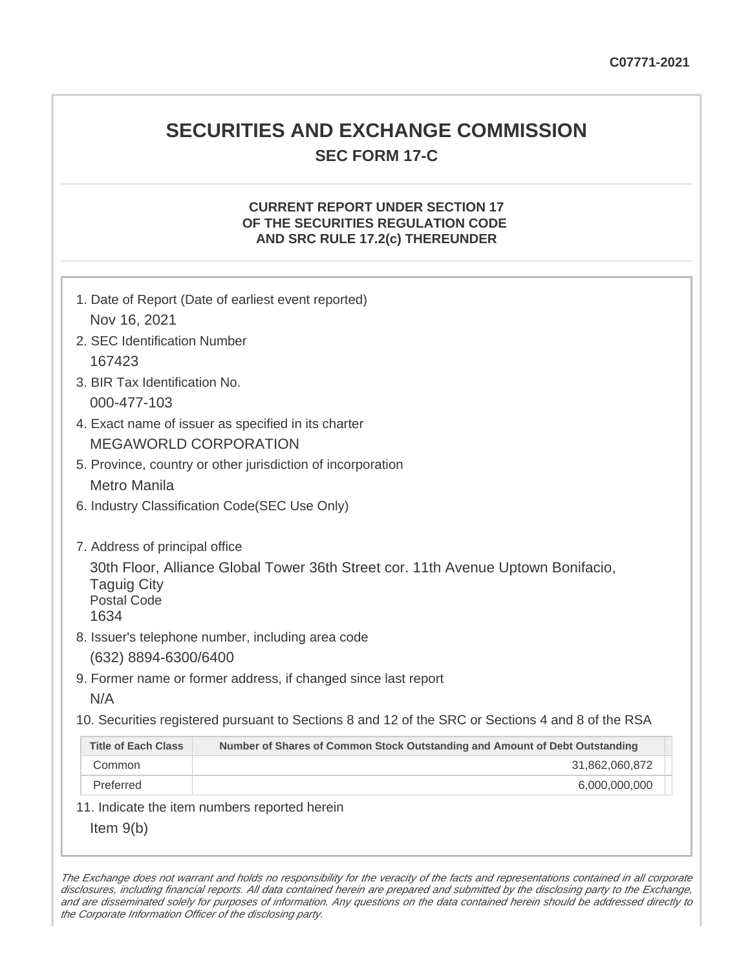# **SECURITIES AND EXCHANGE COMMISSION SEC FORM 17-C**

# **CURRENT REPORT UNDER SECTION 17 OF THE SECURITIES REGULATION CODE AND SRC RULE 17.2(c) THEREUNDER**

| 1. Date of Report (Date of earliest event reported)<br>Nov 16, 2021                                                                                                    |                                                                                                   |  |
|------------------------------------------------------------------------------------------------------------------------------------------------------------------------|---------------------------------------------------------------------------------------------------|--|
| 2. SEC Identification Number                                                                                                                                           |                                                                                                   |  |
| 167423                                                                                                                                                                 |                                                                                                   |  |
| 3. BIR Tax Identification No.                                                                                                                                          |                                                                                                   |  |
| 000-477-103                                                                                                                                                            |                                                                                                   |  |
| 4. Exact name of issuer as specified in its charter                                                                                                                    |                                                                                                   |  |
| <b>MEGAWORLD CORPORATION</b>                                                                                                                                           |                                                                                                   |  |
|                                                                                                                                                                        | 5. Province, country or other jurisdiction of incorporation                                       |  |
| Metro Manila                                                                                                                                                           |                                                                                                   |  |
| 6. Industry Classification Code(SEC Use Only)                                                                                                                          |                                                                                                   |  |
| 7. Address of principal office<br>30th Floor, Alliance Global Tower 36th Street cor. 11th Avenue Uptown Bonifacio,<br><b>Taguig City</b><br><b>Postal Code</b><br>1634 |                                                                                                   |  |
|                                                                                                                                                                        | 8. Issuer's telephone number, including area code                                                 |  |
| (632) 8894-6300/6400                                                                                                                                                   |                                                                                                   |  |
|                                                                                                                                                                        | 9. Former name or former address, if changed since last report                                    |  |
| N/A                                                                                                                                                                    |                                                                                                   |  |
|                                                                                                                                                                        | 10. Securities registered pursuant to Sections 8 and 12 of the SRC or Sections 4 and 8 of the RSA |  |
| <b>Title of Each Class</b>                                                                                                                                             | Number of Shares of Common Stock Outstanding and Amount of Debt Outstanding                       |  |
| Common                                                                                                                                                                 | 31,862,060,872                                                                                    |  |
| Preferred                                                                                                                                                              | 6,000,000,000                                                                                     |  |
|                                                                                                                                                                        | 11. Indicate the item numbers reported herein                                                     |  |
| Item $9(b)$                                                                                                                                                            |                                                                                                   |  |

The Exchange does not warrant and holds no responsibility for the veracity of the facts and representations contained in all corporate disclosures, including financial reports. All data contained herein are prepared and submitted by the disclosing party to the Exchange, and are disseminated solely for purposes of information. Any questions on the data contained herein should be addressed directly to the Corporate Information Officer of the disclosing party.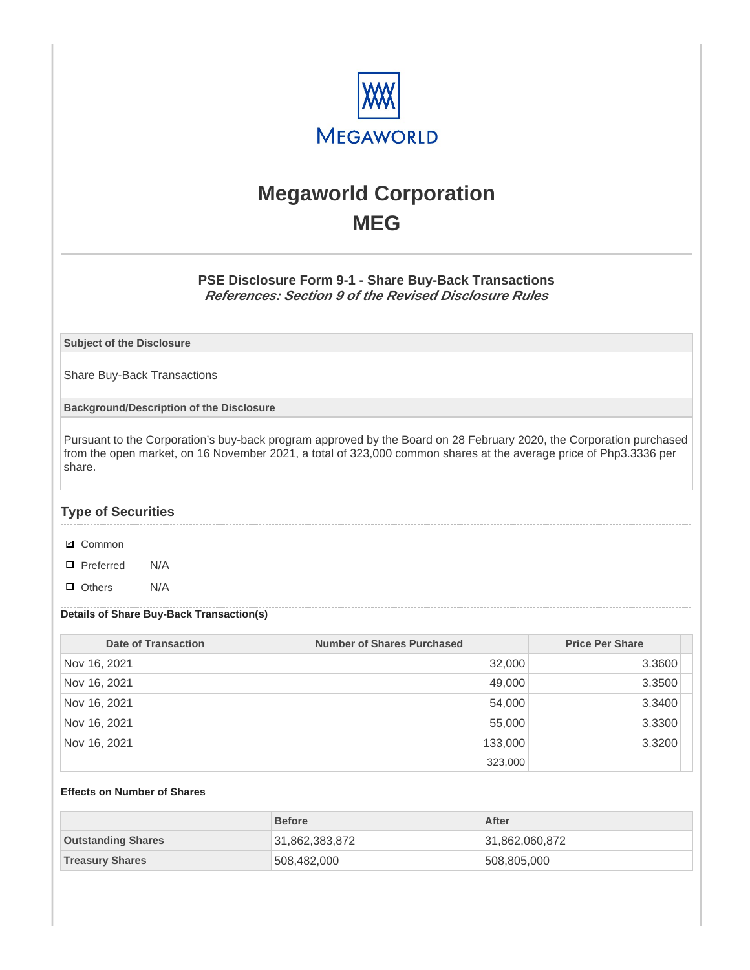

# **Megaworld Corporation MEG**

## **PSE Disclosure Form 9-1 - Share Buy-Back Transactions References: Section 9 of the Revised Disclosure Rules**

**Subject of the Disclosure**

Share Buy-Back Transactions

**Background/Description of the Disclosure**

Pursuant to the Corporation's buy-back program approved by the Board on 28 February 2020, the Corporation purchased from the open market, on 16 November 2021, a total of 323,000 common shares at the average price of Php3.3336 per share.

### **Type of Securities**

- **☑** Common
- □ Preferred N/A
- D Others N/A

### **Details of Share Buy-Back Transaction(s)**

| Date of Transaction | Number of Shares Purchased | <b>Price Per Share</b> |
|---------------------|----------------------------|------------------------|
| Nov 16, 2021        | 32,000                     | 3.3600                 |
| Nov 16, 2021        | 49,000                     | 3.3500                 |
| Nov 16, 2021        | 54,000                     | 3.3400                 |
| Nov 16, 2021        | 55,000                     | 3.3300                 |
| Nov 16, 2021        | 133,000                    | 3.3200                 |
|                     | 323,000                    |                        |

### **Effects on Number of Shares**

|                           | <b>Before</b>  | After          |
|---------------------------|----------------|----------------|
| <b>Outstanding Shares</b> | 31,862,383,872 | 31,862,060,872 |
| <b>Treasury Shares</b>    | 508,482,000    | 508,805,000    |